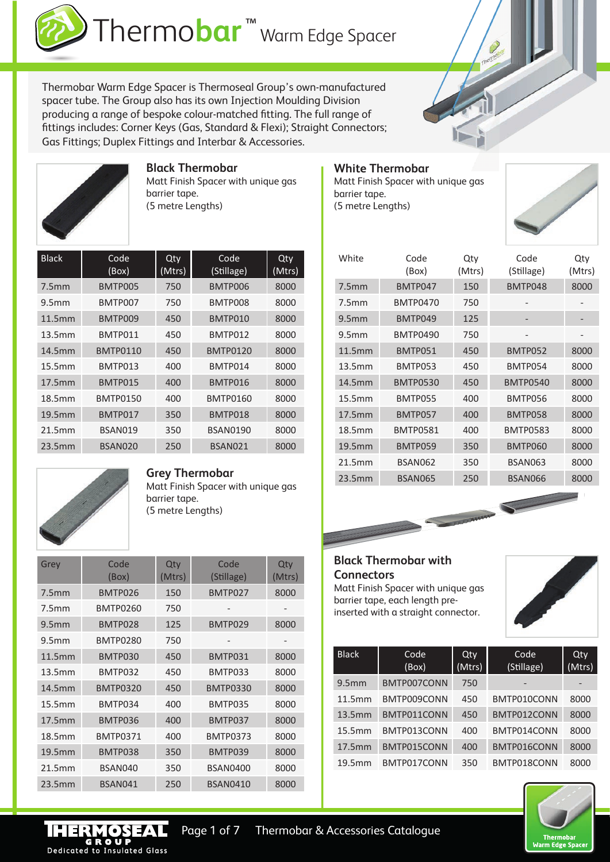

Thermobar Warm Edge Spacer is Thermoseal Group's own-manufactured spacer tube. The Group also has its own Injection Moulding Division producing a range of bespoke colour-matched fitting. The full range of fittings includes: Corner Keys (Gas, Standard & Flexi); Straight Connectors; Gas Fittings; Duplex Fittings and Interbar & Accessories.



## **Black Thermobar**

Matt Finish Spacer with unique gas barrier tape. (5 metre Lengths)

| <b>Black</b>      | Code<br>(Box)   | Qty<br>(Mtrs) | Code<br>(Stillage) | Qty<br>(Mtrs) |
|-------------------|-----------------|---------------|--------------------|---------------|
| 7.5mm             | BMTP005         | 750           | BMTP006            | 8000          |
| 9.5 <sub>mm</sub> | BMTP007         | 750           | BMTP008            | 8000          |
| 11.5mm            | BMTP009         | 450           | BMTP010            | 8000          |
| 13.5mm            | BMTP011         | 450           | BMTP012            | 8000          |
| 14.5mm            | <b>BMTP0110</b> | 450           | <b>BMTP0120</b>    | 8000          |
| 15.5mm            | BMTP013         | 400           | BMTP014            | 8000          |
| 17.5mm            | BMTP015         | 400           | BMTP016            | 8000          |
| 18.5mm            | <b>BMTP0150</b> | 400           | <b>BMTP0160</b>    | 8000          |
| 19.5mm            | BMTP017         | 350           | BMTP018            | 8000          |
| 21.5mm            | BSAN019         | 350           | <b>BSAN0190</b>    | 8000          |
| 23.5mm            | BSAN020         | 250           | BSAN021            | 8000          |

## **White Thermobar**

Matt Finish Spacer with unique gas barrier tape. (5 metre Lengths)



| White             | Code<br>(Box)   | Qty<br>(Mtrs) | Code<br>(Stillage) | Qty<br>(Mtrs) |
|-------------------|-----------------|---------------|--------------------|---------------|
| 7.5mm             | BMTP047         | 150           | BMTP048            | 8000          |
| 7.5 <sub>mm</sub> | <b>BMTP0470</b> | 750           |                    |               |
| 9.5 <sub>mm</sub> | BMTP049         | 125           |                    |               |
| 9.5 <sub>mm</sub> | <b>BMTP0490</b> | 750           |                    |               |
| 11.5mm            | BMTP051         | 450           | BMTP052            | 8000          |
| 13.5mm            | BMTP053         | 450           | BMTP054            | 8000          |
| 14.5mm            | <b>BMTP0530</b> | 450           | <b>BMTP0540</b>    | 8000          |
| 15.5mm            | BMTP055         | 400           | BMTP056            | 8000          |
| 17.5mm            | BMTP057         | 400           | BMTP058            | 8000          |
| 18.5mm            | <b>BMTP0581</b> | 400           | <b>BMTP0583</b>    | 8000          |
| 19.5mm            | BMTP059         | 350           | BMTP060            | 8000          |
| 21.5mm            | BSAN062         | 350           | <b>BSAN063</b>     | 8000          |
| 23.5mm            | <b>BSAN065</b>  | 250           | BSAN066            | 8000          |



Dedicated to Insulated Glass

#### **Grey Thermobar**

Matt Finish Spacer with unique gas barrier tape. (5 metre Lengths)

| Grey              | Code<br>(Box)   | Qty<br>(Mtrs) | Code<br>(Stillage) | Qty<br>(Mtrs) |
|-------------------|-----------------|---------------|--------------------|---------------|
| 7.5 <sub>mm</sub> | BMTP026         | 150           | BMTP027            | 8000          |
| 7.5mm             | <b>BMTP0260</b> | 750           |                    |               |
| 9.5 <sub>mm</sub> | BMTP028         | 125           | BMTP029            | 8000          |
| 9.5 <sub>mm</sub> | <b>BMTP0280</b> | 750           |                    |               |
| 11.5mm            | BMTP030         | 450           | BMTP031            | 8000          |
| 13.5mm            | BMTP032         | 450           | BMTP033            | 8000          |
| 14.5mm            | <b>BMTP0320</b> | 450           | <b>BMTP0330</b>    | 8000          |
| 15.5mm            | BMTP034         | 400           | BMTP035            | 8000          |
| 17.5mm            | BMTP036         | 400           | BMTP037            | 8000          |
| 18.5mm            | <b>BMTP0371</b> | 400           | <b>BMTP0373</b>    | 8000          |
| 19.5mm            | BMTP038         | 350           | BMTP039            | 8000          |
| 21.5mm            | BSAN040         | 350           | <b>BSAN0400</b>    | 8000          |
| 23.5mm            | BSAN041         | 250           | <b>BSAN0410</b>    | 8000          |

## **Black Thermobar with Connectors**

Page 1 of 7 Thermobar & Accessories Catalogue

Matt Finish Spacer with unique gas barrier tape, each length preinserted with a straight connector.



| <b>Black</b>      | Code<br>(Box) | Qty<br>(Mtrs) | Code<br>(Stillage) | Qty<br>(Mtrs) |
|-------------------|---------------|---------------|--------------------|---------------|
| 9.5 <sub>mm</sub> | BMTP007CONN   | 750           |                    | -             |
| 11.5mm            | BMTP009CONN   | 450           | BMTP010CONN        | 8000          |
| 13.5mm            | BMTP011CONN   | 450           | BMTP012CONN        | 8000          |
| 15.5mm            | BMTP013CONN   | 400           | BMTP014CONN        | 8000          |
| 17.5mm            | BMTP015CONN   | 400           | BMTP016CONN        | 8000          |
| 19.5mm            | BMTP017CONN   | 350           | BMTP018CONN        | 8000          |

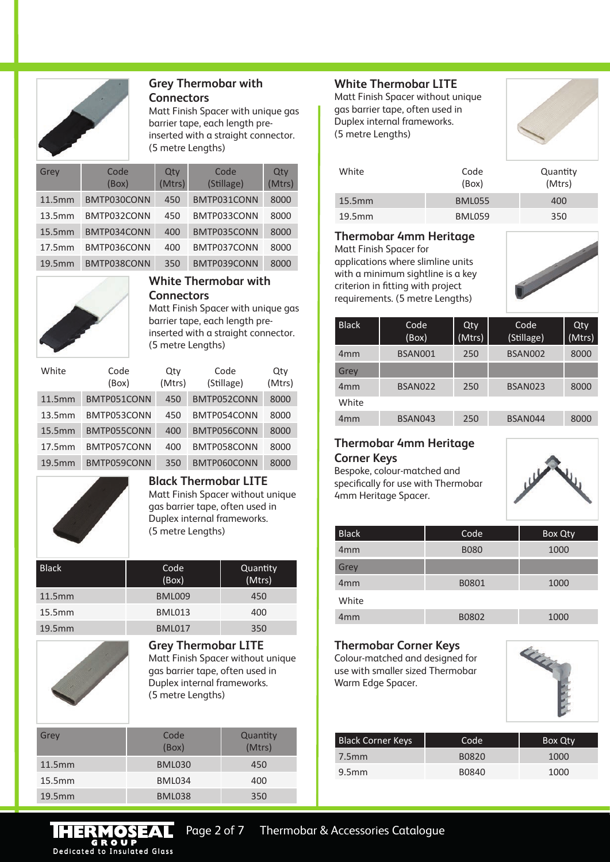

#### **Grey Thermobar with Connectors**

Matt Finish Spacer with unique gas barrier tape, each length preinserted with a straight connector. (5 metre Lengths)

| Grey   | Code<br>(Box) | Qty<br>(Mtrs) | Code<br>(Stillage) | Qty<br>(Mtrs) |
|--------|---------------|---------------|--------------------|---------------|
| 11.5mm | BMTP030CONN   | 450           | BMTP031CONN        | 8000          |
| 13.5mm | BMTP032CONN   | 450           | BMTP033CONN        | 8000          |
| 15.5mm | BMTP034CONN   | 400           | BMTP035CONN        | 8000          |
| 17.5mm | BMTP036CONN   | 400           | BMTP037CONN        | 8000          |
| 19.5mm | BMTP038CONN   | 350           | BMTP039CONN        | 8000          |



**White Thermobar with Connectors**

Matt Finish Spacer with unique gas barrier tape, each length preinserted with a straight connector. (5 metre Lengths)

| White  | Code<br>(Box) | Qtv<br>(Mtrs) | Code<br>(Stillage) | Qtv<br>(Mtrs) |
|--------|---------------|---------------|--------------------|---------------|
| 11.5mm | BMTP051CONN   | 450           | BMTP052CONN        | 8000          |
| 13.5mm | BMTP053CONN   | 450           | BMTP054CONN        | 8000          |
| 15.5mm | BMTP055CONN   | 400           | BMTP056CONN        | 8000          |
| 17.5mm | BMTP057CONN   | 400           | BMTP058CONN        | 8000          |
| 19.5mm | BMTP059CONN   | 350           | BMTP060CONN        | 8000          |



**Black Thermobar LITE** Matt Finish Spacer without unique gas barrier tape, often used in

Duplex internal frameworks. (5 metre Lengths)

| <b>Black</b> | Code<br>(Box) | Quantity<br>(Mtrs) |
|--------------|---------------|--------------------|
| 11.5mm       | <b>BML009</b> | 450                |
| 15.5mm       | <b>BML013</b> | 400                |
| 19.5mm       | <b>BML017</b> | 350                |



**Grey Thermobar LITE** Matt Finish Spacer without unique gas barrier tape, often used in Duplex internal frameworks. (5 metre Lengths)

| Grey   | Code<br>(Box) | Quantity<br>(Mtrs) |
|--------|---------------|--------------------|
| 11.5mm | <b>BML030</b> | 450                |
| 15.5mm | <b>BML034</b> | 400                |
| 19.5mm | <b>BML038</b> | 350                |

## **White Thermobar LITE**

Matt Finish Spacer without unique gas barrier tape, often used in Duplex internal frameworks. (5 metre Lengths)



| White     | Code<br>(Box) | Quantity<br>(Mtrs) |
|-----------|---------------|--------------------|
| $15.5$ mm | <b>BML055</b> | 400                |
| 19.5mm    | <b>BML059</b> | 350                |

#### **Thermobar 4mm Heritage**

Matt Finish Spacer for

applications where slimline units with a minimum sightline is a key criterion in fitting with project requirements. (5 metre Lengths)



| <b>Black</b>    | Code <sup>'</sup><br>(Box) | Qty<br>(Mtrs) | Code<br>(Stillage) | Qty<br>(Mtrs) |
|-----------------|----------------------------|---------------|--------------------|---------------|
| 4 <sub>mm</sub> | BSAN001                    | 250           | BSAN002            | 8000          |
| Grey            |                            |               |                    |               |
| 4 <sub>mm</sub> | BSAN022                    | 250           | BSAN023            | 8000          |
| White           |                            |               |                    |               |
| 4 <sub>mm</sub> | BSAN043                    | 250           | BSAN044            | 8000          |

### **Thermobar 4mm Heritage Corner Keys**

Bespoke, colour-matched and specifically for use with Thermobar 4mm Heritage Spacer.



| <b>Black</b>    | Code        | Box Qty |
|-----------------|-------------|---------|
| 4 <sub>mm</sub> | <b>B080</b> | 1000    |
| Grey            |             |         |
| 4 <sub>mm</sub> | B0801       | 1000    |
| White           |             |         |
| 4 <sub>mm</sub> | B0802       | 1000    |

# **Thermobar Corner Keys**

Colour-matched and designed for use with smaller sized Thermobar Warm Edge Spacer.



| <b>Black Corner Keys</b> | Code <sup>-</sup> | Box Qty |
|--------------------------|-------------------|---------|
| 7.5mm                    | B0820             | 1000    |
| 9.5 <sub>mm</sub>        | B0840             | 1000    |

Page 2 of 7 Thermobar & Accessories Catalogue **THERMOSEAL**<br> **GROUP**<br>
Dedicated to Insulated Glass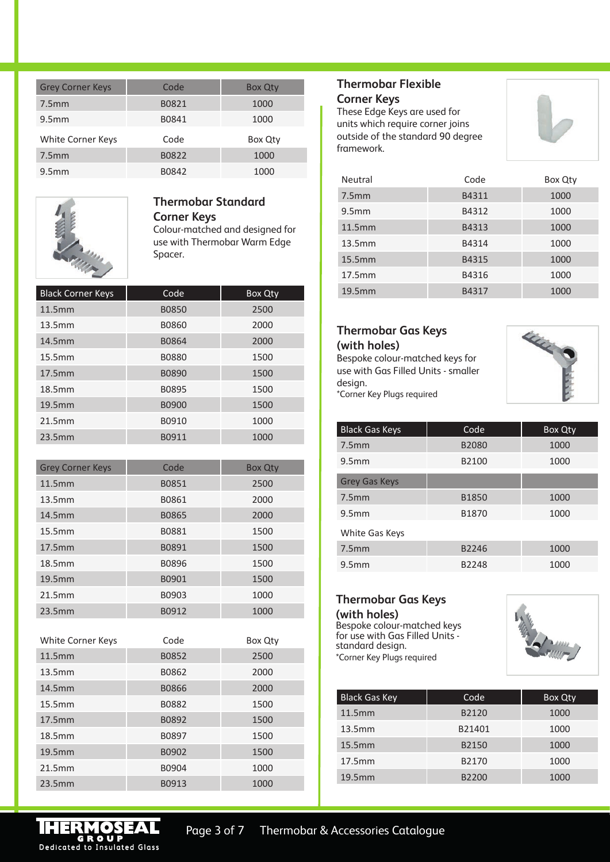| <b>Grey Corner Keys</b> | Code  | <b>Box Qty</b> |
|-------------------------|-------|----------------|
| 7.5 <sub>mm</sub>       | B0821 | 1000           |
| 9.5 <sub>mm</sub>       | B0841 | 1000           |
| White Corner Keys       | Code  | Box Qty        |
| 7.5 <sub>mm</sub>       | B0822 | 1000           |
| 9.5 <sub>mm</sub>       | B0842 | 1000           |



## **Thermobar Standard Corner Keys** Colour-matched and designed for

use with Thermobar Warm Edge Spacer.

| <b>Black Corner Keys</b> | Code         | Box Qty |
|--------------------------|--------------|---------|
| 11.5mm                   | <b>B0850</b> | 2500    |
| 13.5mm                   | B0860        | 2000    |
| 14.5mm                   | B0864        | 2000    |
| 15.5mm                   | <b>B0880</b> | 1500    |
| 17.5mm                   | <b>B0890</b> | 1500    |
| 18.5mm                   | B0895        | 1500    |
| 19.5mm                   | <b>B0900</b> | 1500    |
| 21.5mm                   | B0910        | 1000    |
| 23.5mm                   | B0911        | 1000    |

| <b>Grey Corner Keys</b> | Code  | <b>Box Qty</b> |
|-------------------------|-------|----------------|
| 11.5mm                  | B0851 | 2500           |
| 13.5mm                  | B0861 | 2000           |
| 14.5mm                  | B0865 | 2000           |
| 15.5mm                  | B0881 | 1500           |
| 17.5mm                  | B0891 | 1500           |
| 18.5mm                  | B0896 | 1500           |
| 19.5mm                  | B0901 | 1500           |
| 21.5mm                  | B0903 | 1000           |
| 23.5mm                  | B0912 | 1000           |

| White Corner Keys | Code         | Box Qty |
|-------------------|--------------|---------|
| 11.5mm            | B0852        | 2500    |
| 13.5mm            | B0862        | 2000    |
| 14.5mm            | <b>B0866</b> | 2000    |
| 15.5mm            | B0882        | 1500    |
| 17.5mm            | B0892        | 1500    |
| 18.5mm            | B0897        | 1500    |
| 19.5mm            | B0902        | 1500    |
| 21.5mm            | B0904        | 1000    |
| 23.5mm            | B0913        | 1000    |

## **Thermobar Flexible Corner Keys**

These Edge Keys are used for units which require corner joins outside of the standard 90 degree framework.



| <b>Neutral</b>    | Code  | Box Qty |
|-------------------|-------|---------|
| 7.5mm             | B4311 | 1000    |
| 9.5 <sub>mm</sub> | B4312 | 1000    |
| 11.5mm            | B4313 | 1000    |
| 13.5mm            | B4314 | 1000    |
| 15.5mm            | B4315 | 1000    |
| 17.5mm            | B4316 | 1000    |
| 19.5mm            | B4317 | 1000    |

## **Thermobar Gas Keys (with holes)**

Bespoke colour-matched keys for use with Gas Filled Units - smaller design. \*Corner Key Plugs required



| <b>Black Gas Keys</b> | Code         | <b>Box Qty</b> |
|-----------------------|--------------|----------------|
| 7.5 <sub>mm</sub>     | <b>B2080</b> | 1000           |
| 9.5 <sub>mm</sub>     | B2100        | 1000           |
| <b>Grey Gas Keys</b>  |              |                |
| 7.5mm                 | <b>B1850</b> | 1000           |
| 9.5 <sub>mm</sub>     | B1870        | 1000           |
| White Gas Keys        |              |                |
| 7.5mm                 | B2246        | 1000           |
| 9.5 <sub>mm</sub>     | B2248        | 1000           |

## **Thermobar Gas Keys (with holes)**

Bespoke colour-matched keys for use with Gas Filled Units standard design. \*Corner Key Plugs required



| <b>Black Gas Key</b> | Code <sup>'</sup> | Box Qty |
|----------------------|-------------------|---------|
| 11.5mm               | B2120             | 1000    |
| 13.5mm               | B21401            | 1000    |
| 15.5mm               | B2150             | 1000    |
| 17.5mm               | B2170             | 1000    |
| 19.5mm               | B2200             | 1000    |

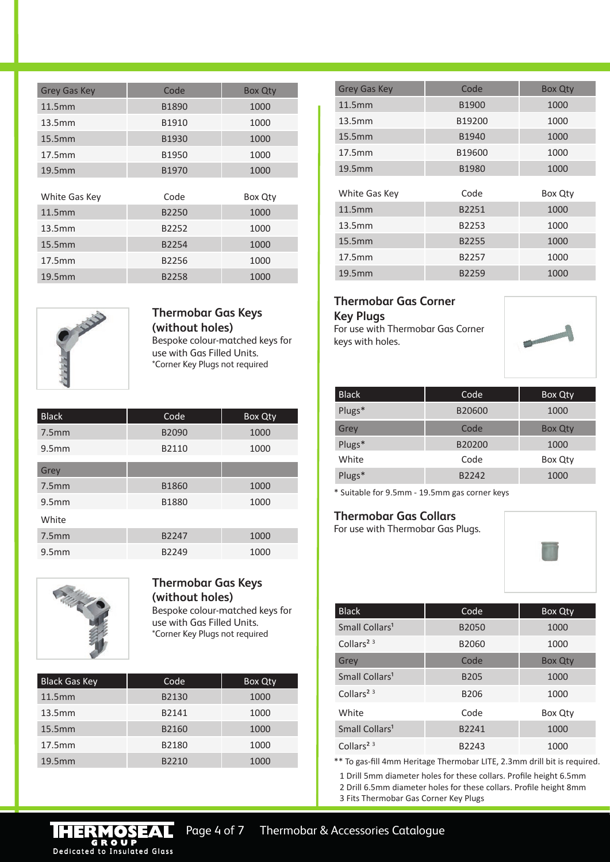| <b>Grey Gas Key</b> | Code  | <b>Box Qty</b> |
|---------------------|-------|----------------|
| 11.5mm              | B1890 | 1000           |
| 13.5mm              | B1910 | 1000           |
| 15.5mm              | B1930 | 1000           |
| 17.5mm              | B1950 | 1000           |
| 19.5mm              | B1970 | 1000           |
|                     |       |                |
| White Gas Key       | Code  | Box Qty        |
| 11.5mm              | B2250 | 1000           |
| 13.5mm              | B2252 | 1000           |
| 15.5mm              | B2254 | 1000           |
| 17.5mm              | B2256 | 1000           |
| 19.5mm              | B2258 | 1000           |



#### **Thermobar Gas Keys (without holes)** Bespoke colour-matched keys for use with Gas Filled Units. \*Corner Key Plugs not required

| <b>Black</b>      | Code  | Box Qty |
|-------------------|-------|---------|
| 7.5mm             | B2090 | 1000    |
| 9.5 <sub>mm</sub> | B2110 | 1000    |
| Grey              |       |         |
| 7.5mm             | B1860 | 1000    |
| 9.5mm             | B1880 | 1000    |
| White             |       |         |
| 7.5mm             | B2247 | 1000    |
| 9.5mm             | B2249 | 1000    |



#### **Thermobar Gas Keys (without holes)** Bespoke colour-matched keys for use with Gas Filled Units.

\*Corner Key Plugs not required

| <b>Black Gas Key</b> | Code <sup>'</sup> | Box Qty |
|----------------------|-------------------|---------|
| 11.5mm               | B2130             | 1000    |
| 13.5mm               | B2141             | 1000    |
| 15.5mm               | B2160             | 1000    |
| 17.5mm               | B2180             | 1000    |
| 19.5mm               | B2210             | 1000    |

| <b>Grey Gas Key</b> | Code   | <b>Box Qty</b> |
|---------------------|--------|----------------|
| 11.5mm              | B1900  | 1000           |
| 13.5mm              | B19200 | 1000           |
| 15.5mm              | B1940  | 1000           |
| 17.5mm              | B19600 | 1000           |
| 19.5mm              | B1980  | 1000           |
| White Gas Key       | Code   | Box Qty        |
| 11.5mm              | B2251  | 1000           |
| 13.5mm              | B2253  | 1000           |
| 15.5mm              | B2255  | 1000           |
| 17.5mm              | B2257  | 1000           |
| 19.5mm              | B2259  | 1000           |

#### **Thermobar Gas Corner Key Plugs**

For use with Thermobar Gas Corner keys with holes.



| <b>Black</b> | Code   | Box Qty        |
|--------------|--------|----------------|
| Plugs*       | B20600 | 1000           |
| Grey         | Code   | <b>Box Qty</b> |
| Plugs*       | B20200 | 1000           |
| White        | Code   | Box Qty        |
| Plugs*       | B2242  | 1000           |

\* Suitable for 9.5mm - 19.5mm gas corner keys

### **Thermobar Gas Collars**

For use with Thermobar Gas Plugs.



| <b>Black</b>               | Code              | <b>Box Qty</b> |
|----------------------------|-------------------|----------------|
| Small Collars <sup>1</sup> | <b>B2050</b>      | 1000           |
| Collars <sup>2 3</sup>     | B2060             | 1000           |
| Grey                       | Code              | <b>Box Qty</b> |
| Small Collars <sup>1</sup> | <b>B205</b>       | 1000           |
| Collars <sup>2 3</sup>     | B <sub>206</sub>  | 1000           |
| White                      | Code              | Box Qty        |
| Small Collars <sup>1</sup> | B <sub>2241</sub> | 1000           |
| Collars <sup>2 3</sup>     | B2243             | 1000           |
|                            |                   |                |

\*\* To gas-fill 4mm Heritage Thermobar LITE, 2.3mm drill bit is required.

1 Drill 5mm diameter holes for these collars. Profile height 6.5mm 2 Drill 6.5mm diameter holes for these collars. Profile height 8mm

3 Fits Thermobar Gas Corner Key Plugs

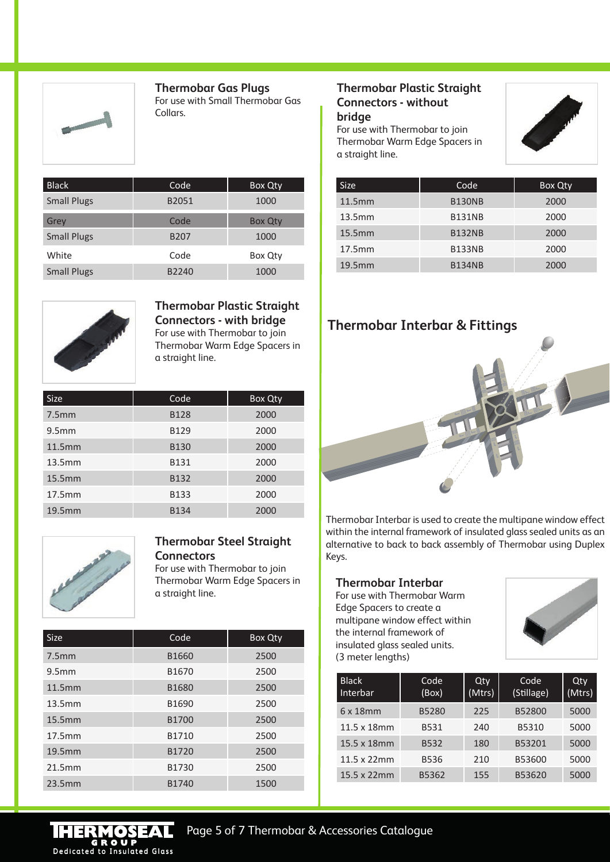

**Thermobar Gas Plugs** For use with Small Thermobar Gas Collars.

| <b>Black</b>       | Code        | Box Qty        |
|--------------------|-------------|----------------|
| <b>Small Plugs</b> | B2051       | 1000           |
| Grey               | Code        | <b>Box Qty</b> |
| <b>Small Plugs</b> | <b>B207</b> | 1000           |
| White              | Code        | Box Qty        |
| <b>Small Plugs</b> | B2240       | 1000           |



**Thermobar Plastic Straight Connectors - with bridge** For use with Thermobar to join Thermobar Warm Edge Spacers in a straight line.

| <b>Size</b>       | Code        | Box Qty |
|-------------------|-------------|---------|
| 7.5 <sub>mm</sub> | <b>B128</b> | 2000    |
| 9.5 <sub>mm</sub> | <b>B129</b> | 2000    |
| 11.5mm            | <b>B130</b> | 2000    |
| 13.5mm            | <b>B131</b> | 2000    |
| 15.5mm            | B132        | 2000    |
| 17.5mm            | <b>B133</b> | 2000    |
| 19.5mm            | <b>B134</b> | 2000    |



#### **Thermobar Steel Straight Connectors**

For use with Thermobar to join Thermobar Warm Edge Spacers in a straight line.

| <b>Size</b>       | Code              | Box Qty |
|-------------------|-------------------|---------|
| 7.5mm             | B1660             | 2500    |
| 9.5 <sub>mm</sub> | B <sub>1670</sub> | 2500    |
| 11.5mm            | B1680             | 2500    |
| 13.5mm            | B1690             | 2500    |
| 15.5mm            | B1700             | 2500    |
| 17.5mm            | B1710             | 2500    |
| 19.5mm            | B1720             | 2500    |
| 21.5mm            | B1730             | 2500    |
| 23.5mm            | B1740             | 1500    |

### **Thermobar Plastic Straight Connectors - without bridge**

For use with Thermobar to join Thermobar Warm Edge Spacers in a straight line.



| <b>Size</b> | Code          | Box Qty |
|-------------|---------------|---------|
| 11.5mm      | <b>B130NB</b> | 2000    |
| 13.5mm      | <b>B131NB</b> | 2000    |
| 15.5mm      | <b>B132NB</b> | 2000    |
| 17.5mm      | <b>B133NB</b> | 2000    |
| 19.5mm      | <b>B134NB</b> | 2000    |

## **Thermobar Interbar & Fittings**



Thermobar Interbar is used to create the multipane window effect within the internal framework of insulated glass sealed units as an alternative to back to back assembly of Thermobar using Duplex Keys.

#### **Thermobar Interbar**

For use with Thermobar Warm Edge Spacers to create a multipane window effect within the internal framework of insulated glass sealed units. (3 meter lengths)



| <b>Black</b><br>Interbar | Code<br>(Box) | Qty<br>(Mtrs) | Code<br>(Stillage) | Qty<br>(Mtrs) |
|--------------------------|---------------|---------------|--------------------|---------------|
| 6x18mm                   | B5280         | 225           | B52800             | 5000          |
| 11.5 x 18mm              | B531          | 240           | B5310              | 5000          |
| 15.5 x 18mm              | <b>B532</b>   | 180           | B53201             | 5000          |
| 11.5 x 22mm              | <b>B536</b>   | 210           | B53600             | 5000          |
| 15.5 x 22mm              | B5362         | 155           | B53620             | 5000          |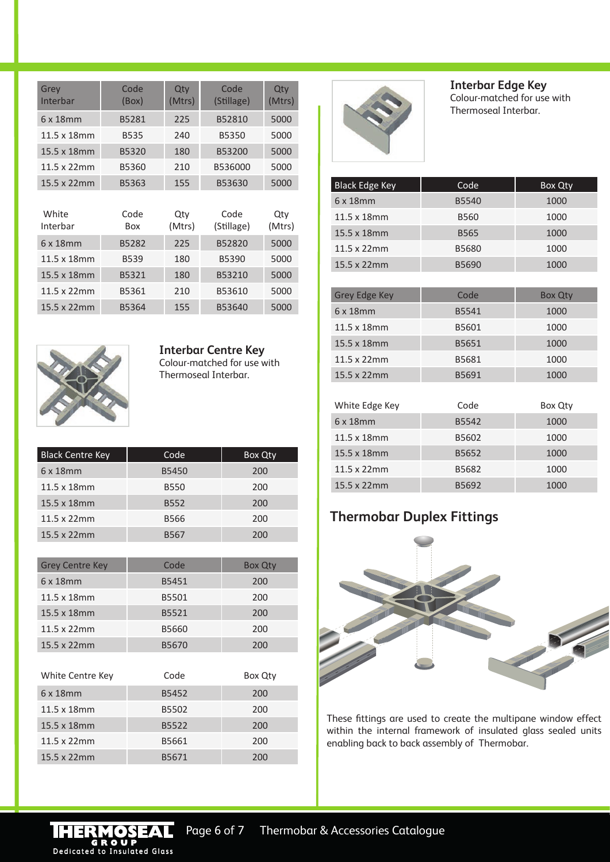| Grey<br>Interbar    | Code<br>(Box)      | Qty<br>(Mtrs) | Code<br>(Stillage) | Qty<br>(Mtrs) |
|---------------------|--------------------|---------------|--------------------|---------------|
| 6 x 18 mm           | B5281              | 225           | B52810             | 5000          |
| 11.5 x 18mm         | <b>B535</b>        | 240           | B5350              | 5000          |
| 15.5 x 18mm         | B5320              | 180           | B53200             | 5000          |
| $11.5 \times 22$ mm | B5360              | 210           | B536000            | 5000          |
| 15.5 x 22mm         | B5363              | 155           | B53630             | 5000          |
|                     |                    |               |                    |               |
| White<br>Interbar   | Code<br><b>Box</b> | Qty<br>(Mtrs) | Code<br>(Stillage) | Qty<br>(Mtrs) |
| 6 x 18mm            | B5282              | 225           | B52820             | 5000          |
| 11.5 x 18mm         | <b>B539</b>        | 180           | B5390              | 5000          |
| 15.5 x 18mm         | B5321              | 180           | B53210             | 5000          |
| $11.5 \times 22$ mm | B5361              | 210           | B53610             | 5000          |
|                     |                    |               |                    |               |



**Interbar Edge Key** Colour-matched for use with Thermoseal Interbar.

| <b>Black Edge Key</b> | Code         | Box Qty |
|-----------------------|--------------|---------|
| 6x18mm                | B5540        | 1000    |
| 11.5 x 18mm           | <b>B560</b>  | 1000    |
| 15.5 x 18mm           | <b>B565</b>  | 1000    |
| $11.5 \times 22$ mm   | <b>B5680</b> | 1000    |
| 15.5 x 22mm           | B5690        | 1000    |

| <b>Grey Edge Key</b> | Code  | Box Qty |
|----------------------|-------|---------|
| $6 \times 18$ mm     | B5541 | 1000    |
| 11.5 x 18mm          | B5601 | 1000    |
| 15.5 x 18mm          | B5651 | 1000    |
| $11.5 \times 22$ mm  | B5681 | 1000    |
| 15.5 x 22mm          | B5691 | 1000    |

| White Edge Key | Code  | Box Qty |
|----------------|-------|---------|
| 6x18mm         | B5542 | 1000    |
| 11.5 x 18mm    | B5602 | 1000    |
| 15.5 x 18mm    | B5652 | 1000    |
| 11.5 x 22mm    | B5682 | 1000    |
| 15.5 x 22mm    | B5692 | 1000    |

# **Thermobar Duplex Fittings**



These fittings are used to create the multipane window effect within the internal framework of insulated glass sealed units enabling back to back assembly of Thermobar.



**Interbar Centre Key** Colour-matched for use with Thermoseal Interbar.

| <b>Black Centre Key</b> | Code <sup>'</sup> | Box Qty |
|-------------------------|-------------------|---------|
| $6 \times 18$ mm        | <b>B5450</b>      | 200     |
| 11.5 x 18mm             | <b>B550</b>       | 200     |
| 15.5 x 18mm             | <b>B552</b>       | 200     |
| 11.5 x 22mm             | <b>B566</b>       | 200     |
| 15.5 x 22mm             | <b>B567</b>       | 200     |

| <b>Grey Centre Key</b> | Code  | <b>Box Qty</b> |
|------------------------|-------|----------------|
| 6x18mm                 | B5451 | 200            |
| 11.5 x 18mm            | B5501 | 200            |
| 15.5 x 18mm            | B5521 | 200            |
| $11.5 \times 22$ mm    | B5660 | 200            |
| 15.5 x 22mm            | B5670 | 200            |

| Code  | Box Qty |
|-------|---------|
| B5452 | 200     |
| B5502 | 200     |
| B5522 | 200     |
| B5661 | 200     |
| B5671 | 200     |
|       |         |